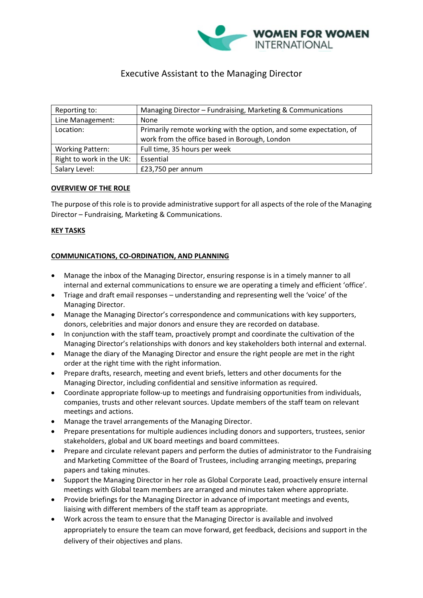

# Executive Assistant to the Managing Director

| Reporting to:            | Managing Director - Fundraising, Marketing & Communications        |
|--------------------------|--------------------------------------------------------------------|
| Line Management:         | None                                                               |
| Location:                | Primarily remote working with the option, and some expectation, of |
|                          | work from the office based in Borough, London                      |
| <b>Working Pattern:</b>  | Full time, 35 hours per week                                       |
| Right to work in the UK: | Essential                                                          |
| Salary Level:            | £23,750 per annum                                                  |

## **OVERVIEW OF THE ROLE**

The purpose of this role is to provide administrative support for all aspects of the role of the Managing Director – Fundraising, Marketing & Communications.

## **KEY TASKS**

## **COMMUNICATIONS, CO-ORDINATION, AND PLANNING**

- Manage the inbox of the Managing Director, ensuring response is in a timely manner to all internal and external communications to ensure we are operating a timely and efficient 'office'.
- Triage and draft email responses understanding and representing well the 'voice' of the Managing Director.
- Manage the Managing Director's correspondence and communications with key supporters, donors, celebrities and major donors and ensure they are recorded on database.
- In conjunction with the staff team, proactively prompt and coordinate the cultivation of the Managing Director's relationships with donors and key stakeholders both internal and external.
- Manage the diary of the Managing Director and ensure the right people are met in the right order at the right time with the right information.
- Prepare drafts, research, meeting and event briefs, letters and other documents for the Managing Director, including confidential and sensitive information as required.
- Coordinate appropriate follow-up to meetings and fundraising opportunities from individuals, companies, trusts and other relevant sources. Update members of the staff team on relevant meetings and actions.
- Manage the travel arrangements of the Managing Director.
- Prepare presentations for multiple audiences including donors and supporters, trustees, senior stakeholders, global and UK board meetings and board committees.
- Prepare and circulate relevant papers and perform the duties of administrator to the Fundraising and Marketing Committee of the Board of Trustees, including arranging meetings, preparing papers and taking minutes.
- Support the Managing Director in her role as Global Corporate Lead, proactively ensure internal meetings with Global team members are arranged and minutes taken where appropriate.
- Provide briefings for the Managing Director in advance of important meetings and events, liaising with different members of the staff team as appropriate.
- Work across the team to ensure that the Managing Director is available and involved appropriately to ensure the team can move forward, get feedback, decisions and support in the delivery of their objectives and plans.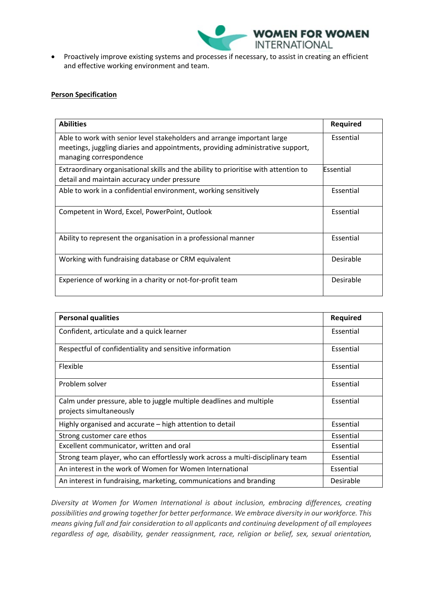

• Proactively improve existing systems and processes if necessary, to assist in creating an efficient and effective working environment and team.

### **Person Specification**

| <b>Abilities</b>                                                                                                                                                                     | <b>Required</b> |
|--------------------------------------------------------------------------------------------------------------------------------------------------------------------------------------|-----------------|
| Able to work with senior level stakeholders and arrange important large<br>meetings, juggling diaries and appointments, providing administrative support,<br>managing correspondence | Essential       |
| Extraordinary organisational skills and the ability to prioritise with attention to<br>detail and maintain accuracy under pressure                                                   | Essential       |
| Able to work in a confidential environment, working sensitively                                                                                                                      | Essential       |
| Competent in Word, Excel, PowerPoint, Outlook                                                                                                                                        | Essential       |
| Ability to represent the organisation in a professional manner                                                                                                                       | Essential       |
| Working with fundraising database or CRM equivalent                                                                                                                                  | Desirable       |
| Experience of working in a charity or not-for-profit team                                                                                                                            | Desirable       |

| <b>Personal qualities</b>                                                                      | Required  |
|------------------------------------------------------------------------------------------------|-----------|
| Confident, articulate and a quick learner                                                      | Essential |
| Respectful of confidentiality and sensitive information                                        | Essential |
| Flexible                                                                                       | Essential |
| Problem solver                                                                                 | Essential |
| Calm under pressure, able to juggle multiple deadlines and multiple<br>projects simultaneously | Essential |
| Highly organised and accurate – high attention to detail                                       | Essential |
| Strong customer care ethos                                                                     | Essential |
| Excellent communicator, written and oral                                                       | Essential |
| Strong team player, who can effortlessly work across a multi-disciplinary team                 | Essential |
| An interest in the work of Women for Women International                                       | Essential |
| An interest in fundraising, marketing, communications and branding                             | Desirable |

*Diversity at Women for Women International is about inclusion, embracing differences, creating possibilities and growing together for better performance. We embrace diversity in our workforce. This means giving full and fair consideration to all applicants and continuing development of all employees regardless of age, disability, gender reassignment, race, religion or belief, sex, sexual orientation,*